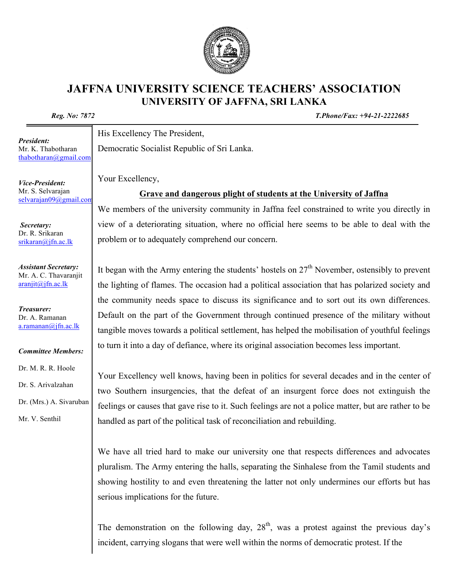## **JAFFNA UNIVERSITY SCIENCE TEACHERS' ASSOCIATION UNIVERSITY OF JAFFNA, SRI LANKA**

*Reg. No: 7872 T.Phone/Fax: +94-21-2222685*

His Excellency The President,

Democratic Socialist Republic of Sri Lanka.

Your Excellency,

## **Grave and dangerous plight of students at the University of Jaffna**

We members of the university community in Jaffna feel constrained to write you directly in view of a deteriorating situation, where no official here seems to be able to deal with the problem or to adequately comprehend our concern.

It began with the Army entering the students' hostels on  $27<sup>th</sup>$  November, ostensibly to prevent the lighting of flames. The occasion had a political association that has polarized society and the community needs space to discuss its significance and to sort out its own differences. Default on the part of the Government through continued presence of the military without tangible moves towards a political settlement, has helped the mobilisation of youthful feelings to turn it into a day of defiance, where its original association becomes less important.

Your Excellency well knows, having been in politics for several decades and in the center of two Southern insurgencies, that the defeat of an insurgent force does not extinguish the feelings or causes that gave rise to it. Such feelings are not a police matter, but are rather to be handled as part of the political task of reconciliation and rebuilding.

We have all tried hard to make our university one that respects differences and advocates pluralism. The Army entering the halls, separating the Sinhalese from the Tamil students and showing hostility to and even threatening the latter not only undermines our efforts but has serious implications for the future.

The demonstration on the following day,  $28<sup>th</sup>$ , was a protest against the previous day's incident, carrying slogans that were well within the norms of democratic protest. If the

*Vice-President:* Mr. S. Selvarajan selvarajan09@gmail.com

Mr. K. Thabotharan thabotharan@gmail.com

*President:*

*Secretary:* Dr. R. Srikaran srikaran@jfn.ac.lk

*Assistant Secretary:* Mr. A. C. Thavaranjit  $araniit(\omega)$ ifn.ac.lk

*Treasurer:* Dr. A. Ramanan  $a$ .ramanan $\omega$ jfn.ac.lk

*Committee Members:*

Dr. M. R. R. Hoole

Dr. S. Arivalzahan

Dr. (Mrs.) A. Sivaruban

Mr. V. Senthil

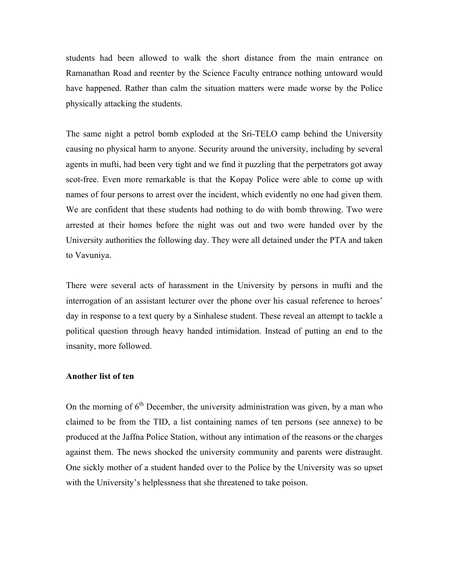students had been allowed to walk the short distance from the main entrance on Ramanathan Road and reenter by the Science Faculty entrance nothing untoward would have happened. Rather than calm the situation matters were made worse by the Police physically attacking the students.

The same night a petrol bomb exploded at the Sri-TELO camp behind the University causing no physical harm to anyone. Security around the university, including by several agents in mufti, had been very tight and we find it puzzling that the perpetrators got away scot-free. Even more remarkable is that the Kopay Police were able to come up with names of four persons to arrest over the incident, which evidently no one had given them. We are confident that these students had nothing to do with bomb throwing. Two were arrested at their homes before the night was out and two were handed over by the University authorities the following day. They were all detained under the PTA and taken to Vavuniya.

There were several acts of harassment in the University by persons in mufti and the interrogation of an assistant lecturer over the phone over his casual reference to heroes' day in response to a text query by a Sinhalese student. These reveal an attempt to tackle a political question through heavy handed intimidation. Instead of putting an end to the insanity, more followed.

## **Another list of ten**

On the morning of  $6<sup>th</sup>$  December, the university administration was given, by a man who claimed to be from the TID, a list containing names of ten persons (see annexe) to be produced at the Jaffna Police Station, without any intimation of the reasons or the charges against them. The news shocked the university community and parents were distraught. One sickly mother of a student handed over to the Police by the University was so upset with the University's helplessness that she threatened to take poison.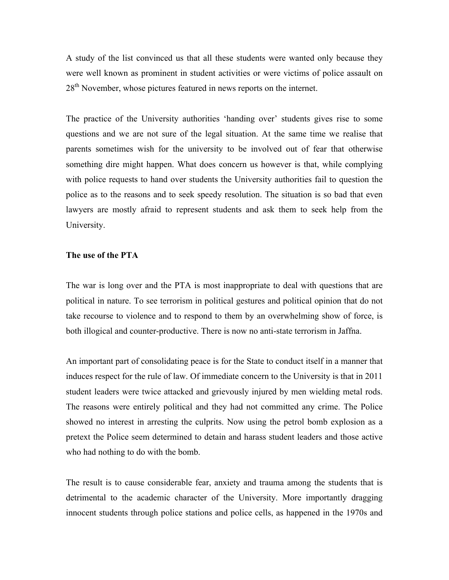A study of the list convinced us that all these students were wanted only because they were well known as prominent in student activities or were victims of police assault on 28<sup>th</sup> November, whose pictures featured in news reports on the internet.

The practice of the University authorities 'handing over' students gives rise to some questions and we are not sure of the legal situation. At the same time we realise that parents sometimes wish for the university to be involved out of fear that otherwise something dire might happen. What does concern us however is that, while complying with police requests to hand over students the University authorities fail to question the police as to the reasons and to seek speedy resolution. The situation is so bad that even lawyers are mostly afraid to represent students and ask them to seek help from the University.

## **The use of the PTA**

The war is long over and the PTA is most inappropriate to deal with questions that are political in nature. To see terrorism in political gestures and political opinion that do not take recourse to violence and to respond to them by an overwhelming show of force, is both illogical and counter-productive. There is now no anti-state terrorism in Jaffna.

An important part of consolidating peace is for the State to conduct itself in a manner that induces respect for the rule of law. Of immediate concern to the University is that in 2011 student leaders were twice attacked and grievously injured by men wielding metal rods. The reasons were entirely political and they had not committed any crime. The Police showed no interest in arresting the culprits. Now using the petrol bomb explosion as a pretext the Police seem determined to detain and harass student leaders and those active who had nothing to do with the bomb.

The result is to cause considerable fear, anxiety and trauma among the students that is detrimental to the academic character of the University. More importantly dragging innocent students through police stations and police cells, as happened in the 1970s and